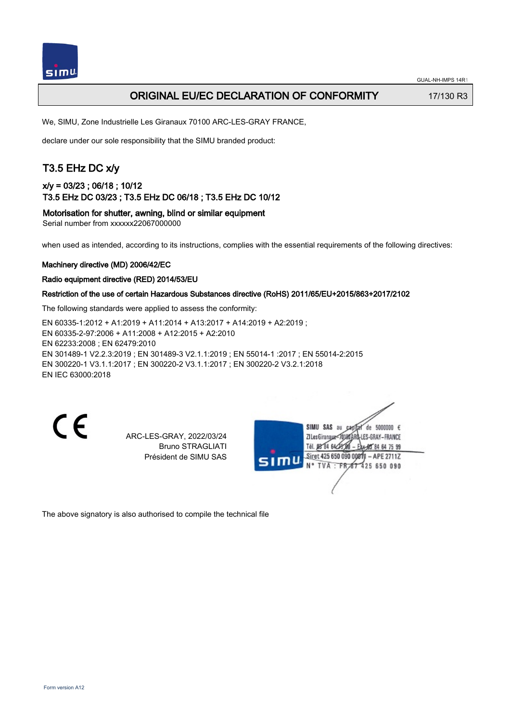

# ORIGINAL EU/EC DECLARATION OF CONFORMITY 17/130 R3

We, SIMU, Zone Industrielle Les Giranaux 70100 ARC-LES-GRAY FRANCE,

declare under our sole responsibility that the SIMU branded product:

# T3.5 EHz DC x/y

## x/y = 03/23 ; 06/18 ; 10/12 T3.5 EHz DC 03/23 ; T3.5 EHz DC 06/18 ; T3.5 EHz DC 10/12

Motorisation for shutter, awning, blind or similar equipment

Serial number from xxxxxx22067000000

when used as intended, according to its instructions, complies with the essential requirements of the following directives:

#### Machinery directive (MD) 2006/42/EC

#### Radio equipment directive (RED) 2014/53/EU

#### Restriction of the use of certain Hazardous Substances directive (RoHS) 2011/65/EU+2015/863+2017/2102

The following standards were applied to assess the conformity:

EN 60335‑1:2012 + A1:2019 + A11:2014 + A13:2017 + A14:2019 + A2:2019 ; EN 60335‑2‑97:2006 + A11:2008 + A12:2015 + A2:2010 EN 62233:2008 ; EN 62479:2010 EN 301489‑1 V2.2.3:2019 ; EN 301489‑3 V2.1.1:2019 ; EN 55014‑1 :2017 ; EN 55014‑2:2015 EN 300220‑1 V3.1.1:2017 ; EN 300220‑2 V3.1.1:2017 ; EN 300220‑2 V3.2.1:2018 EN IEC 63000:2018

CE

ARC-LES-GRAY, 2022/03/24 Bruno STRAGLIATI Président de SIMU SAS



The above signatory is also authorised to compile the technical file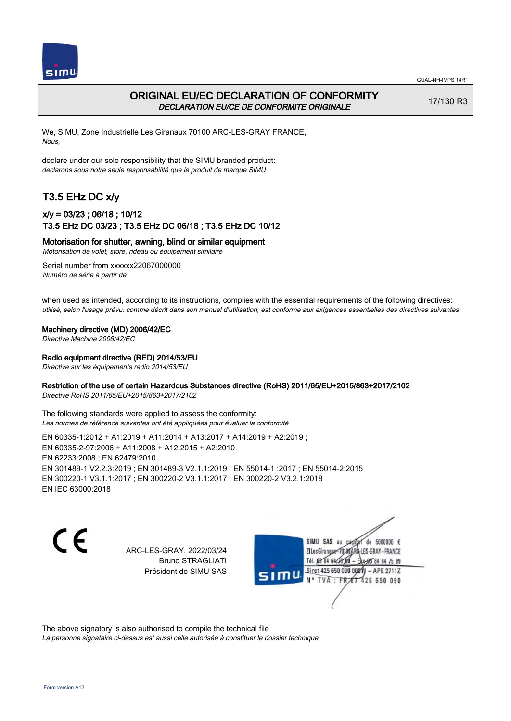



## ORIGINAL EU/EC DECLARATION OF CONFORMITY DECLARATION EU/CE DE CONFORMITE ORIGINALE

17/130 R3

We, SIMU, Zone Industrielle Les Giranaux 70100 ARC-LES-GRAY FRANCE, Nous,

declare under our sole responsibility that the SIMU branded product: declarons sous notre seule responsabilité que le produit de marque SIMU

# T3.5 EHz DC x/y

### x/y = 03/23 ; 06/18 ; 10/12 T3.5 EHz DC 03/23 ; T3.5 EHz DC 06/18 ; T3.5 EHz DC 10/12

Motorisation for shutter, awning, blind or similar equipment

Motorisation de volet, store, rideau ou équipement similaire

Serial number from xxxxxx22067000000 Numéro de série à partir de

when used as intended, according to its instructions, complies with the essential requirements of the following directives: utilisé, selon l'usage prévu, comme décrit dans son manuel d'utilisation, est conforme aux exigences essentielles des directives suivantes

Machinery directive (MD) 2006/42/EC

Directive Machine 2006/42/EC

Radio equipment directive (RED) 2014/53/EU

Directive sur les équipements radio 2014/53/EU

#### Restriction of the use of certain Hazardous Substances directive (RoHS) 2011/65/EU+2015/863+2017/2102

Directive RoHS 2011/65/EU+2015/863+2017/2102

The following standards were applied to assess the conformity: Les normes de référence suivantes ont été appliquées pour évaluer la conformité

EN 60335‑1:2012 + A1:2019 + A11:2014 + A13:2017 + A14:2019 + A2:2019 ; EN 60335‑2‑97:2006 + A11:2008 + A12:2015 + A2:2010 EN 62233:2008 ; EN 62479:2010 EN 301489‑1 V2.2.3:2019 ; EN 301489‑3 V2.1.1:2019 ; EN 55014‑1 :2017 ; EN 55014‑2:2015 EN 300220‑1 V3.1.1:2017 ; EN 300220‑2 V3.1.1:2017 ; EN 300220‑2 V3.2.1:2018 EN IEC 63000:2018

C F

ARC-LES-GRAY, 2022/03/24 Bruno STRAGLIATI Président de SIMU SAS

de 5000000  $\epsilon$ SIMU SAS au ZI Les Giranaux<sup>2</sup> ES-GRAY-FRANCE Tél. 08 84 64 2 64 75 99 Siret 425 650 090 00811  $-$  APF 27117 125 650 090

The above signatory is also authorised to compile the technical file

La personne signataire ci-dessus est aussi celle autorisée à constituer le dossier technique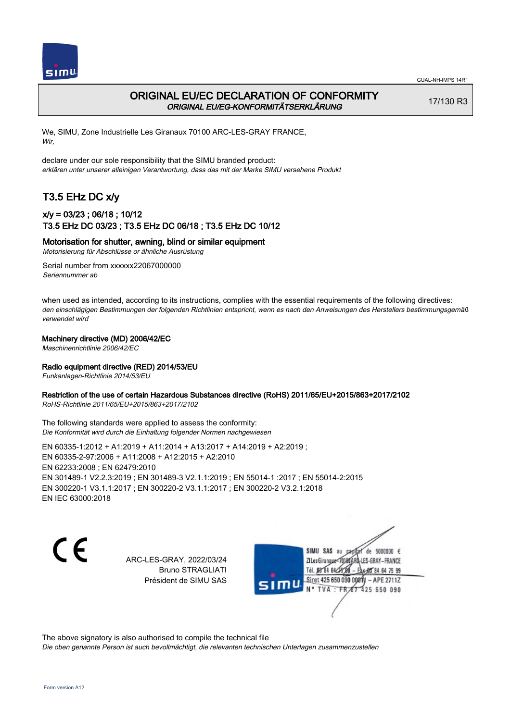



## ORIGINAL EU/EC DECLARATION OF CONFORMITY ORIGINAL EU/EG-KONFORMITÄTSERKLÄRUNG

17/130 R3

We, SIMU, Zone Industrielle Les Giranaux 70100 ARC-LES-GRAY FRANCE, Wir,

declare under our sole responsibility that the SIMU branded product: erklären unter unserer alleinigen Verantwortung, dass das mit der Marke SIMU versehene Produkt

# T3.5 EHz DC x/y

### x/y = 03/23 ; 06/18 ; 10/12 T3.5 EHz DC 03/23 ; T3.5 EHz DC 06/18 ; T3.5 EHz DC 10/12

#### Motorisation for shutter, awning, blind or similar equipment

Motorisierung für Abschlüsse or ähnliche Ausrüstung

Serial number from xxxxxx22067000000 Seriennummer ab

when used as intended, according to its instructions, complies with the essential requirements of the following directives: den einschlägigen Bestimmungen der folgenden Richtlinien entspricht, wenn es nach den Anweisungen des Herstellers bestimmungsgemäß verwendet wird

#### Machinery directive (MD) 2006/42/EC

Maschinenrichtlinie 2006/42/EC

#### Radio equipment directive (RED) 2014/53/EU

Funkanlagen-Richtlinie 2014/53/EU

#### Restriction of the use of certain Hazardous Substances directive (RoHS) 2011/65/EU+2015/863+2017/2102

RoHS-Richtlinie 2011/65/EU+2015/863+2017/2102

The following standards were applied to assess the conformity: Die Konformität wird durch die Einhaltung folgender Normen nachgewiesen

EN 60335‑1:2012 + A1:2019 + A11:2014 + A13:2017 + A14:2019 + A2:2019 ; EN 60335‑2‑97:2006 + A11:2008 + A12:2015 + A2:2010 EN 62233:2008 ; EN 62479:2010 EN 301489‑1 V2.2.3:2019 ; EN 301489‑3 V2.1.1:2019 ; EN 55014‑1 :2017 ; EN 55014‑2:2015 EN 300220‑1 V3.1.1:2017 ; EN 300220‑2 V3.1.1:2017 ; EN 300220‑2 V3.2.1:2018 EN IEC 63000:2018

 $\epsilon$ 

ARC-LES-GRAY, 2022/03/24 Bruno STRAGLIATI Président de SIMU SAS

de 5000000  $\epsilon$ SIMU SAS au ZI Les Giranauxe LES-GRAY-FRANCE Tél. 08 84 64 24 95 84 64 75 99 Siret 425 650 090 00811 - APE 2711Z  $TVA$ : FRAT 425 650 090

The above signatory is also authorised to compile the technical file

Die oben genannte Person ist auch bevollmächtigt, die relevanten technischen Unterlagen zusammenzustellen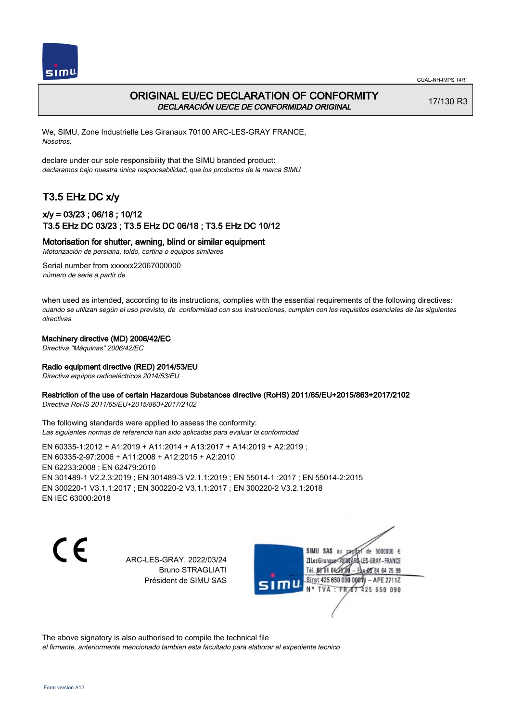



## ORIGINAL EU/EC DECLARATION OF CONFORMITY DECLARACIÓN UE/CE DE CONFORMIDAD ORIGINAL

17/130 R3

We, SIMU, Zone Industrielle Les Giranaux 70100 ARC-LES-GRAY FRANCE, Nosotros,

declare under our sole responsibility that the SIMU branded product: declaramos bajo nuestra única responsabilidad, que los productos de la marca SIMU

# T3.5 EHz DC x/y

### x/y = 03/23 ; 06/18 ; 10/12 T3.5 EHz DC 03/23 ; T3.5 EHz DC 06/18 ; T3.5 EHz DC 10/12

#### Motorisation for shutter, awning, blind or similar equipment

Motorización de persiana, toldo, cortina o equipos similares

Serial number from xxxxxx22067000000 número de serie a partir de

when used as intended, according to its instructions, complies with the essential requirements of the following directives: cuando se utilizan según el uso previsto, de conformidad con sus instrucciones, cumplen con los requisitos esenciales de las siguientes directivas

#### Machinery directive (MD) 2006/42/EC

Directiva "Máquinas" 2006/42/EC

#### Radio equipment directive (RED) 2014/53/EU

Directiva equipos radioeléctricos 2014/53/EU

#### Restriction of the use of certain Hazardous Substances directive (RoHS) 2011/65/EU+2015/863+2017/2102

Directiva RoHS 2011/65/EU+2015/863+2017/2102

The following standards were applied to assess the conformity: Las siguientes normas de referencia han sido aplicadas para evaluar la conformidad

EN 60335‑1:2012 + A1:2019 + A11:2014 + A13:2017 + A14:2019 + A2:2019 ; EN 60335‑2‑97:2006 + A11:2008 + A12:2015 + A2:2010 EN 62233:2008 ; EN 62479:2010 EN 301489‑1 V2.2.3:2019 ; EN 301489‑3 V2.1.1:2019 ; EN 55014‑1 :2017 ; EN 55014‑2:2015 EN 300220‑1 V3.1.1:2017 ; EN 300220‑2 V3.1.1:2017 ; EN 300220‑2 V3.2.1:2018 EN IEC 63000:2018

 $\epsilon$ 

ARC-LES-GRAY, 2022/03/24 Bruno STRAGLIATI Président de SIMU SAS

de 5000000  $\epsilon$ SIMU SAS au ZI Les Giranaux< LES-GRAY-FRANCE Tél. 08 84 64 24 95 84 64 75 99 Siret 425 650 090 00811 - APE 2711Z TVA: FR 67 425 650 090

The above signatory is also authorised to compile the technical file el firmante, anteriormente mencionado tambien esta facultado para elaborar el expediente tecnico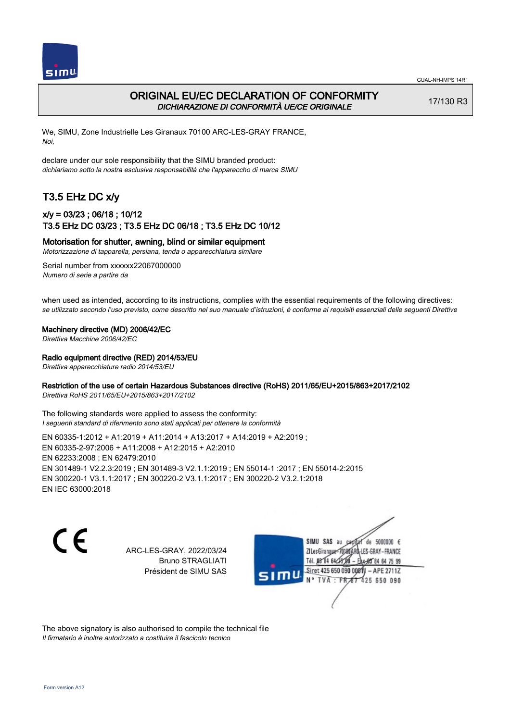

### ORIGINAL EU/EC DECLARATION OF CONFORMITY DICHIARAZIONE DI CONFORMITÀ UE/CE ORIGINALE

17/130 R3

We, SIMU, Zone Industrielle Les Giranaux 70100 ARC-LES-GRAY FRANCE, Noi,

declare under our sole responsibility that the SIMU branded product: dichiariamo sotto la nostra esclusiva responsabilità che l'appareccho di marca SIMU

# T3.5 EHz DC x/y

### x/y = 03/23 ; 06/18 ; 10/12 T3.5 EHz DC 03/23 ; T3.5 EHz DC 06/18 ; T3.5 EHz DC 10/12

Motorisation for shutter, awning, blind or similar equipment

Motorizzazione di tapparella, persiana, tenda o apparecchiatura similare

Serial number from xxxxxx22067000000 Numero di serie a partire da

when used as intended, according to its instructions, complies with the essential requirements of the following directives: se utilizzato secondo l'uso previsto, come descritto nel suo manuale d'istruzioni, è conforme ai requisiti essenziali delle seguenti Direttive

Machinery directive (MD) 2006/42/EC

Direttiva Macchine 2006/42/EC

Radio equipment directive (RED) 2014/53/EU

Direttiva apparecchiature radio 2014/53/EU

#### Restriction of the use of certain Hazardous Substances directive (RoHS) 2011/65/EU+2015/863+2017/2102

Direttiva RoHS 2011/65/EU+2015/863+2017/2102

The following standards were applied to assess the conformity: I seguenti standard di riferimento sono stati applicati per ottenere la conformità

EN 60335‑1:2012 + A1:2019 + A11:2014 + A13:2017 + A14:2019 + A2:2019 ; EN 60335‑2‑97:2006 + A11:2008 + A12:2015 + A2:2010 EN 62233:2008 ; EN 62479:2010 EN 301489‑1 V2.2.3:2019 ; EN 301489‑3 V2.1.1:2019 ; EN 55014‑1 :2017 ; EN 55014‑2:2015 EN 300220‑1 V3.1.1:2017 ; EN 300220‑2 V3.1.1:2017 ; EN 300220‑2 V3.2.1:2018 EN IEC 63000:2018

C F

ARC-LES-GRAY, 2022/03/24 Bruno STRAGLIATI Président de SIMU SAS

de 5000000  $\epsilon$ SIMU SAS au ZI Les Giranaux< ES-GRAY-FRANCE Tél. 08 84 64 2 64 75 99 Siret 425 650 090 00811  $-$  APF 27117 125 650 090

The above signatory is also authorised to compile the technical file Il firmatario è inoltre autorizzato a costituire il fascicolo tecnico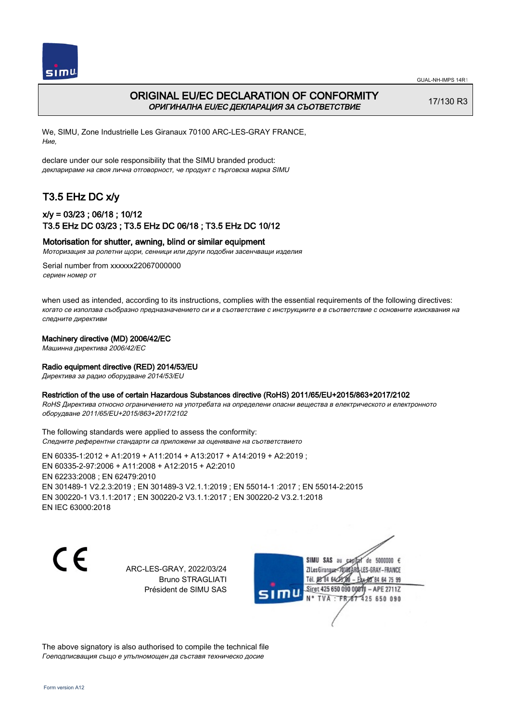



## ORIGINAL EU/EC DECLARATION OF CONFORMITY ОРИГИНАЛНА EU/EC ДЕКЛАРАЦИЯ ЗА СЪОТВЕТСТВИЕ

17/130 R3

We, SIMU, Zone Industrielle Les Giranaux 70100 ARC-LES-GRAY FRANCE, Ние,

declare under our sole responsibility that the SIMU branded product: декларираме на своя лична отговорност, че продукт с търговска марка SIMU

# T3.5 EHz DC x/y

### x/y = 03/23 ; 06/18 ; 10/12 T3.5 EHz DC 03/23 ; T3.5 EHz DC 06/18 ; T3.5 EHz DC 10/12

#### Motorisation for shutter, awning, blind or similar equipment

Моторизация за ролетни щори, сенници или други подобни засенчващи изделия

Serial number from xxxxxx22067000000 сериен номер от

when used as intended, according to its instructions, complies with the essential requirements of the following directives: когато се използва съобразно предназначението си и в съответствие с инструкциите е в съответствие с основните изисквания на следните директиви

#### Machinery directive (MD) 2006/42/EC

Машинна директива 2006/42/EC

#### Radio equipment directive (RED) 2014/53/EU

Директива за радио оборудване 2014/53/EU

#### Restriction of the use of certain Hazardous Substances directive (RoHS) 2011/65/EU+2015/863+2017/2102

RoHS Директива относно ограничението на употребата на определени опасни вещества в електрическото и електронното оборудване 2011/65/EU+2015/863+2017/2102

The following standards were applied to assess the conformity: Следните референтни стандарти са приложени за оценяване на съответствието

EN 60335‑1:2012 + A1:2019 + A11:2014 + A13:2017 + A14:2019 + A2:2019 ; EN 60335‑2‑97:2006 + A11:2008 + A12:2015 + A2:2010 EN 62233:2008 ; EN 62479:2010 EN 301489‑1 V2.2.3:2019 ; EN 301489‑3 V2.1.1:2019 ; EN 55014‑1 :2017 ; EN 55014‑2:2015 EN 300220‑1 V3.1.1:2017 ; EN 300220‑2 V3.1.1:2017 ; EN 300220‑2 V3.2.1:2018 EN IEC 63000:2018

CE

ARC-LES-GRAY, 2022/03/24 Bruno STRAGLIATI Président de SIMU SAS



The above signatory is also authorised to compile the technical file Гоеподписващия също е упълномощен да съставя техническо досие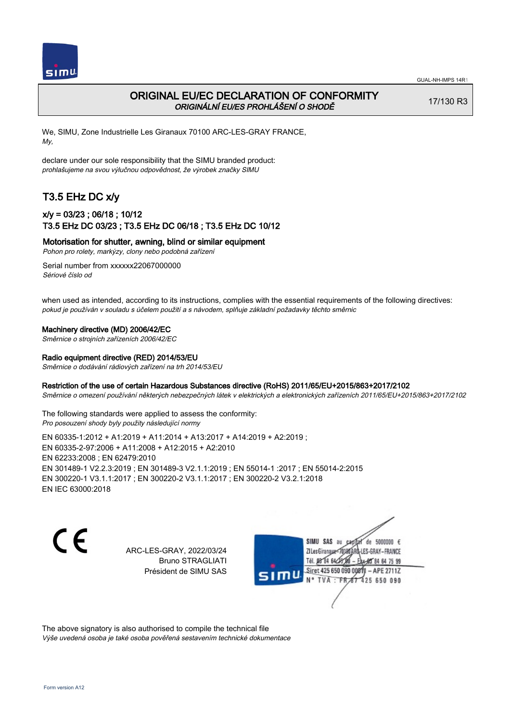

# ORIGINAL EU/EC DECLARATION OF CONFORMITY ORIGINÁLNÍ EU/ES PROHLÁŠENÍ O SHODĚ

17/130 R3

We, SIMU, Zone Industrielle Les Giranaux 70100 ARC-LES-GRAY FRANCE, My,

declare under our sole responsibility that the SIMU branded product: prohlašujeme na svou výlučnou odpovědnost, že výrobek značky SIMU

# T3.5 EHz DC x/y

## x/y = 03/23 ; 06/18 ; 10/12 T3.5 EHz DC 03/23 ; T3.5 EHz DC 06/18 ; T3.5 EHz DC 10/12

Motorisation for shutter, awning, blind or similar equipment

Pohon pro rolety, markýzy, clony nebo podobná zařízení

Serial number from xxxxxx22067000000 Sériové číslo od

when used as intended, according to its instructions, complies with the essential requirements of the following directives: pokud je používán v souladu s účelem použití a s návodem, splňuje základní požadavky těchto směrnic

#### Machinery directive (MD) 2006/42/EC

Směrnice o strojních zařízeních 2006/42/EC

#### Radio equipment directive (RED) 2014/53/EU

Směrnice o dodávání rádiových zařízení na trh 2014/53/EU

#### Restriction of the use of certain Hazardous Substances directive (RoHS) 2011/65/EU+2015/863+2017/2102

Směrnice o omezení používání některých nebezpečných látek v elektrických a elektronických zařízeních 2011/65/EU+2015/863+2017/2102

The following standards were applied to assess the conformity: Pro posouzení shody byly použity následující normy

EN 60335‑1:2012 + A1:2019 + A11:2014 + A13:2017 + A14:2019 + A2:2019 ; EN 60335‑2‑97:2006 + A11:2008 + A12:2015 + A2:2010 EN 62233:2008 ; EN 62479:2010 EN 301489‑1 V2.2.3:2019 ; EN 301489‑3 V2.1.1:2019 ; EN 55014‑1 :2017 ; EN 55014‑2:2015 EN 300220‑1 V3.1.1:2017 ; EN 300220‑2 V3.1.1:2017 ; EN 300220‑2 V3.2.1:2018 EN IEC 63000:2018

C F

ARC-LES-GRAY, 2022/03/24 Bruno STRAGLIATI Président de SIMU SAS

de 5000000  $\epsilon$ SIMU SAS au ZI Les Giranaux< LES-GRAY-FRANCE Tél. 08 R4 64 2 64 75 99 Siret 425 650 090 00811  $-$  APF 27117 125 650 090

The above signatory is also authorised to compile the technical file Výše uvedená osoba je také osoba pověřená sestavením technické dokumentace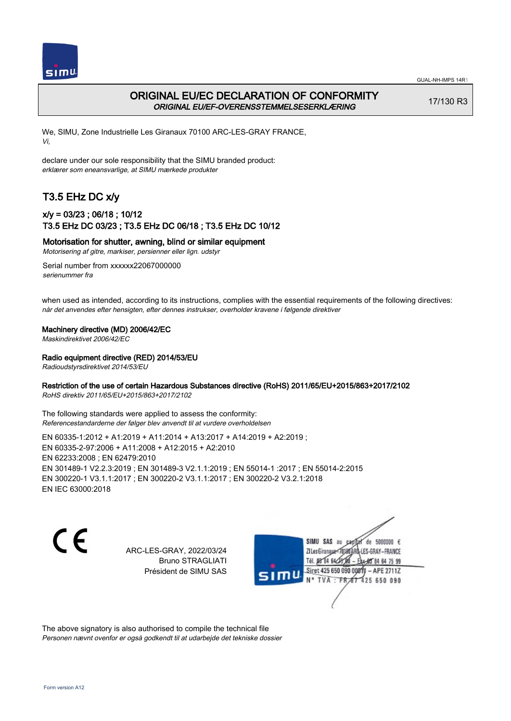



## ORIGINAL EU/EC DECLARATION OF CONFORMITY ORIGINAL EU/EF-OVERENSSTEMMELSESERKLÆRING

17/130 R3

We, SIMU, Zone Industrielle Les Giranaux 70100 ARC-LES-GRAY FRANCE, Vi,

declare under our sole responsibility that the SIMU branded product: erklærer som eneansvarlige, at SIMU mærkede produkter

# T3.5 EHz DC x/y

### x/y = 03/23 ; 06/18 ; 10/12 T3.5 EHz DC 03/23 ; T3.5 EHz DC 06/18 ; T3.5 EHz DC 10/12

Motorisation for shutter, awning, blind or similar equipment

Motorisering af gitre, markiser, persienner eller lign. udstyr

Serial number from xxxxxx22067000000 serienummer fra

when used as intended, according to its instructions, complies with the essential requirements of the following directives: når det anvendes efter hensigten, efter dennes instrukser, overholder kravene i følgende direktiver

Machinery directive (MD) 2006/42/EC

Maskindirektivet 2006/42/EC

Radio equipment directive (RED) 2014/53/EU

Radioudstyrsdirektivet 2014/53/EU

#### Restriction of the use of certain Hazardous Substances directive (RoHS) 2011/65/EU+2015/863+2017/2102

RoHS direktiv 2011/65/EU+2015/863+2017/2102

The following standards were applied to assess the conformity: Referencestandarderne der følger blev anvendt til at vurdere overholdelsen

EN 60335‑1:2012 + A1:2019 + A11:2014 + A13:2017 + A14:2019 + A2:2019 ; EN 60335‑2‑97:2006 + A11:2008 + A12:2015 + A2:2010 EN 62233:2008 ; EN 62479:2010 EN 301489‑1 V2.2.3:2019 ; EN 301489‑3 V2.1.1:2019 ; EN 55014‑1 :2017 ; EN 55014‑2:2015 EN 300220‑1 V3.1.1:2017 ; EN 300220‑2 V3.1.1:2017 ; EN 300220‑2 V3.2.1:2018 EN IEC 63000:2018

CE

ARC-LES-GRAY, 2022/03/24 Bruno STRAGLIATI Président de SIMU SAS

de 5000000  $\epsilon$ SIMU SAS au ZI Les Giranaux< LES-GRAY-FRANCE Tél. 08 84 64 2 64 75 99 Siret 425 650 090 00811  $-$  APF 27117 125 650 090

The above signatory is also authorised to compile the technical file Personen nævnt ovenfor er også godkendt til at udarbejde det tekniske dossier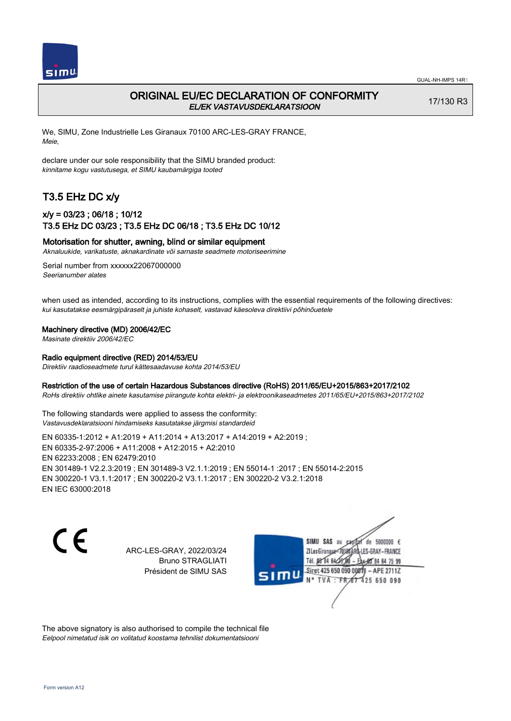

# ORIGINAL EU/EC DECLARATION OF CONFORMITY EL/EK VASTAVUSDEKLARATSIOON

17/130 R3

We, SIMU, Zone Industrielle Les Giranaux 70100 ARC-LES-GRAY FRANCE, Meie,

declare under our sole responsibility that the SIMU branded product: kinnitame kogu vastutusega, et SIMU kaubamärgiga tooted

# T3.5 EHz DC x/y

## x/y = 03/23 ; 06/18 ; 10/12 T3.5 EHz DC 03/23 ; T3.5 EHz DC 06/18 ; T3.5 EHz DC 10/12

#### Motorisation for shutter, awning, blind or similar equipment

Aknaluukide, varikatuste, aknakardinate või sarnaste seadmete motoriseerimine

Serial number from xxxxxx22067000000 Seerianumber alates

when used as intended, according to its instructions, complies with the essential requirements of the following directives: kui kasutatakse eesmärgipäraselt ja juhiste kohaselt, vastavad käesoleva direktiivi põhinõuetele

#### Machinery directive (MD) 2006/42/EC

Masinate direktiiv 2006/42/EC

#### Radio equipment directive (RED) 2014/53/EU

Direktiiv raadioseadmete turul kättesaadavuse kohta 2014/53/EU

#### Restriction of the use of certain Hazardous Substances directive (RoHS) 2011/65/EU+2015/863+2017/2102

RoHs direktiiv ohtlike ainete kasutamise piirangute kohta elektri- ja elektroonikaseadmetes 2011/65/EU+2015/863+2017/2102

The following standards were applied to assess the conformity: Vastavusdeklaratsiooni hindamiseks kasutatakse järgmisi standardeid

EN 60335‑1:2012 + A1:2019 + A11:2014 + A13:2017 + A14:2019 + A2:2019 ; EN 60335‑2‑97:2006 + A11:2008 + A12:2015 + A2:2010 EN 62233:2008 ; EN 62479:2010 EN 301489‑1 V2.2.3:2019 ; EN 301489‑3 V2.1.1:2019 ; EN 55014‑1 :2017 ; EN 55014‑2:2015 EN 300220‑1 V3.1.1:2017 ; EN 300220‑2 V3.1.1:2017 ; EN 300220‑2 V3.2.1:2018 EN IEC 63000:2018

 $\epsilon$ 

ARC-LES-GRAY, 2022/03/24 Bruno STRAGLIATI Président de SIMU SAS

de 5000000  $\epsilon$ SIMU SAS au ZI Les Giranaux<sup>2</sup> ES-GRAY-FRANCE Tél. 08 84 64 2 64 75 99 Siret 425 650 090 00811  $-$  APF 27117 125 650 090

The above signatory is also authorised to compile the technical file Eelpool nimetatud isik on volitatud koostama tehnilist dokumentatsiooni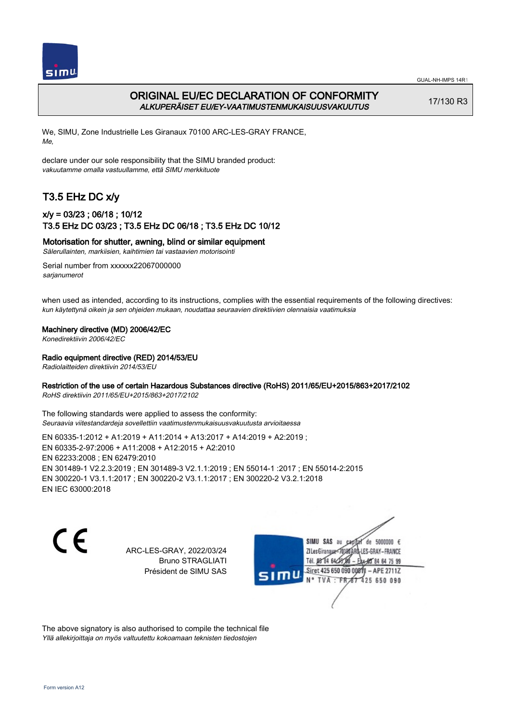

# ORIGINAL EU/EC DECLARATION OF CONFORMITY ALKUPERÄISET EU/EY-VAATIMUSTENMUKAISUUSVAKUUTUS

17/130 R3

We, SIMU, Zone Industrielle Les Giranaux 70100 ARC-LES-GRAY FRANCE, Me,

declare under our sole responsibility that the SIMU branded product: vakuutamme omalla vastuullamme, että SIMU merkkituote

# T3.5 EHz DC x/y

## x/y = 03/23 ; 06/18 ; 10/12 T3.5 EHz DC 03/23 ; T3.5 EHz DC 06/18 ; T3.5 EHz DC 10/12

Motorisation for shutter, awning, blind or similar equipment

Sälerullainten, markiisien, kaihtimien tai vastaavien motorisointi

Serial number from xxxxxx22067000000 sarianumerot

when used as intended, according to its instructions, complies with the essential requirements of the following directives: kun käytettynä oikein ja sen ohjeiden mukaan, noudattaa seuraavien direktiivien olennaisia vaatimuksia

#### Machinery directive (MD) 2006/42/EC

Konedirektiivin 2006/42/EC

#### Radio equipment directive (RED) 2014/53/EU

Radiolaitteiden direktiivin 2014/53/EU

#### Restriction of the use of certain Hazardous Substances directive (RoHS) 2011/65/EU+2015/863+2017/2102

RoHS direktiivin 2011/65/EU+2015/863+2017/2102

The following standards were applied to assess the conformity: Seuraavia viitestandardeja sovellettiin vaatimustenmukaisuusvakuutusta arvioitaessa

EN 60335‑1:2012 + A1:2019 + A11:2014 + A13:2017 + A14:2019 + A2:2019 ; EN 60335‑2‑97:2006 + A11:2008 + A12:2015 + A2:2010 EN 62233:2008 ; EN 62479:2010 EN 301489‑1 V2.2.3:2019 ; EN 301489‑3 V2.1.1:2019 ; EN 55014‑1 :2017 ; EN 55014‑2:2015 EN 300220‑1 V3.1.1:2017 ; EN 300220‑2 V3.1.1:2017 ; EN 300220‑2 V3.2.1:2018 EN IEC 63000:2018

 $\epsilon$ 

ARC-LES-GRAY, 2022/03/24 Bruno STRAGLIATI Président de SIMU SAS

de 5000000  $\epsilon$ SIMU SAS au ZI Les Giranaux< ES-GRAY-FRANCE Tél. 08 84 64 2 64 75 99 Siret 425 650 090 00811  $-$  APF 27117 125 650 090

The above signatory is also authorised to compile the technical file Yllä allekirjoittaja on myös valtuutettu kokoamaan teknisten tiedostojen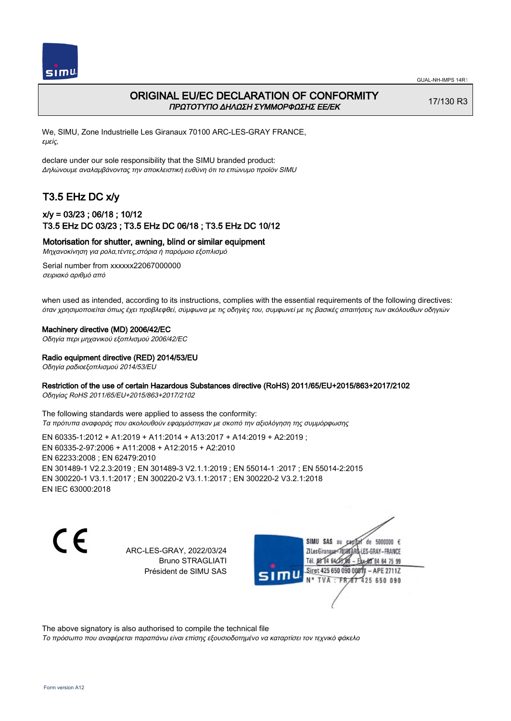

### ORIGINAL EU/EC DECLARATION OF CONFORMITY ΠΡΩΤΟΤΥΠΟ ΔΗΛΩΣΗ ΣΥΜΜΟΡΦΩΣΗΣ ΕΕ/EK

17/130 R3

We, SIMU, Zone Industrielle Les Giranaux 70100 ARC-LES-GRAY FRANCE, εμείς,

declare under our sole responsibility that the SIMU branded product: Δηλώνουμε αναλαμβάνοντας την αποκλειστική ευθύνη ότι το επώνυμο προϊόν SIMU

# T3.5 EHz DC x/y

### x/y = 03/23 ; 06/18 ; 10/12 T3.5 EHz DC 03/23 ; T3.5 EHz DC 06/18 ; T3.5 EHz DC 10/12

Motorisation for shutter, awning, blind or similar equipment

Μηχανοκίνηση για ρολα,τέντες,στόρια ή παρόμοιο εξοπλισμό

Serial number from xxxxxx22067000000 σειριακό αριθμό από

when used as intended, according to its instructions, complies with the essential requirements of the following directives: όταν χρησιμοποιείται όπως έχει προβλεφθεί, σύμφωνα με τις οδηγίες του, συμφωνεί με τις βασικές απαιτήσεις των ακόλουθων οδηγιών

#### Machinery directive (MD) 2006/42/EC

Οδηγία περι μηχανικού εξοπλισμού 2006/42/EC

# Radio equipment directive (RED) 2014/53/EU

Οδηγία ραδιοεξοπλισμού 2014/53/EU

#### Restriction of the use of certain Hazardous Substances directive (RoHS) 2011/65/EU+2015/863+2017/2102

Οδηγίας RoHS 2011/65/EU+2015/863+2017/2102

The following standards were applied to assess the conformity: Τα πρότυπα αναφοράς που ακολουθούν εφαρμόστηκαν με σκοπό την αξιολόγηση της συμμόρφωσης

EN 60335‑1:2012 + A1:2019 + A11:2014 + A13:2017 + A14:2019 + A2:2019 ; EN 60335‑2‑97:2006 + A11:2008 + A12:2015 + A2:2010 EN 62233:2008 ; EN 62479:2010 EN 301489‑1 V2.2.3:2019 ; EN 301489‑3 V2.1.1:2019 ; EN 55014‑1 :2017 ; EN 55014‑2:2015 EN 300220‑1 V3.1.1:2017 ; EN 300220‑2 V3.1.1:2017 ; EN 300220‑2 V3.2.1:2018 EN IEC 63000:2018

C F

ARC-LES-GRAY, 2022/03/24 Bruno STRAGLIATI Président de SIMU SAS

de 5000000  $\epsilon$ SIMU SAS au ZI Les Giranaux-70180 LES-GRAY-FRANCE THE DR R4 64/28 64 75 99 Siret 425 650 090 00811  $-$  APF 27117 125 650 090

The above signatory is also authorised to compile the technical file

Το πρόσωπο που αναφέρεται παραπάνω είναι επίσης εξουσιοδοτημένο να καταρτίσει τον τεχνικό φάκελο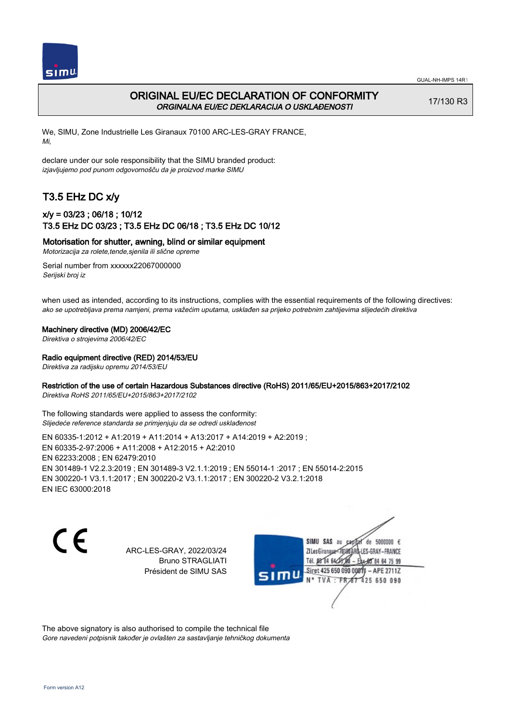

# ORIGINAL EU/EC DECLARATION OF CONFORMITY ORGINALNA EU/EC DEKLARACIJA O USKLAĐENOSTI

17/130 R3

We, SIMU, Zone Industrielle Les Giranaux 70100 ARC-LES-GRAY FRANCE, Mi,

declare under our sole responsibility that the SIMU branded product: izjavljujemo pod punom odgovornošču da je proizvod marke SIMU

# T3.5 EHz DC x/y

## x/y = 03/23 ; 06/18 ; 10/12 T3.5 EHz DC 03/23 ; T3.5 EHz DC 06/18 ; T3.5 EHz DC 10/12

Motorisation for shutter, awning, blind or similar equipment

Motorizacija za rolete,tende,sjenila ili slične opreme

Serial number from xxxxxx22067000000 Serijski broj iz

when used as intended, according to its instructions, complies with the essential requirements of the following directives: ako se upotrebljava prema namjeni, prema važećim uputama, usklađen sa prijeko potrebnim zahtijevima slijedećih direktiva

Machinery directive (MD) 2006/42/EC

Direktiva o strojevima 2006/42/EC

Radio equipment directive (RED) 2014/53/EU

Direktiva za radijsku opremu 2014/53/EU

### Restriction of the use of certain Hazardous Substances directive (RoHS) 2011/65/EU+2015/863+2017/2102

Direktiva RoHS 2011/65/EU+2015/863+2017/2102

The following standards were applied to assess the conformity: Slijedeće reference standarda se primjenjuju da se odredi usklađenost

EN 60335‑1:2012 + A1:2019 + A11:2014 + A13:2017 + A14:2019 + A2:2019 ; EN 60335‑2‑97:2006 + A11:2008 + A12:2015 + A2:2010 EN 62233:2008 ; EN 62479:2010 EN 301489‑1 V2.2.3:2019 ; EN 301489‑3 V2.1.1:2019 ; EN 55014‑1 :2017 ; EN 55014‑2:2015 EN 300220‑1 V3.1.1:2017 ; EN 300220‑2 V3.1.1:2017 ; EN 300220‑2 V3.2.1:2018 EN IEC 63000:2018

C F

ARC-LES-GRAY, 2022/03/24 Bruno STRAGLIATI Président de SIMU SAS

de 5000000  $\epsilon$ SIMU SAS au ZI Les Giranaux< LES-GRAY-FRANCE Tél. 08 R4 64 2 64 75 99 Siret 425 650 090 00811  $-$  APF 27117 125 650 090

The above signatory is also authorised to compile the technical file Gore navedeni potpisnik također je ovlašten za sastavljanje tehničkog dokumenta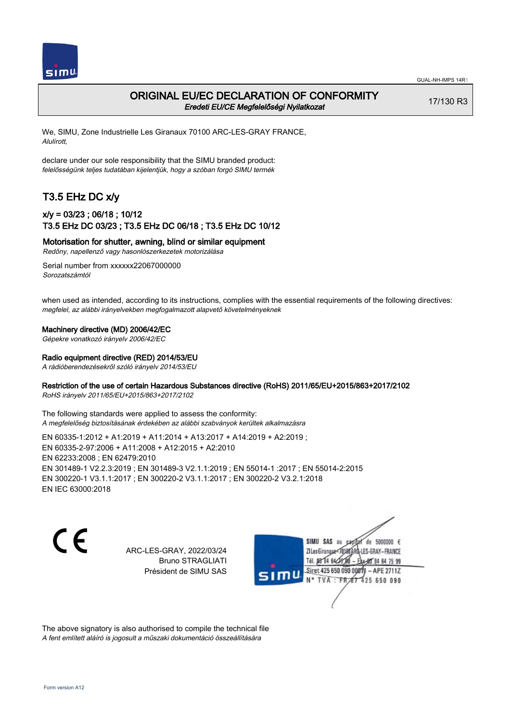

## ORIGINAL EU/EC DECLARATION OF CONFORMITY Eredeti EU/CE Megfelelőségi Nyilatkozat

17/130 R3

We, SIMU, Zone Industrielle Les Giranaux 70100 ARC-LES-GRAY FRANCE, Alulírott,

declare under our sole responsibility that the SIMU branded product: felelősségünk teljes tudatában kijelentjük, hogy a szóban forgó SIMU termék

# T3.5 EHz DC x/y

### x/y = 03/23 ; 06/18 ; 10/12 T3.5 EHz DC 03/23 ; T3.5 EHz DC 06/18 ; T3.5 EHz DC 10/12

Motorisation for shutter, awning, blind or similar equipment

Redőny, napellenző vagy hasonlószerkezetek motorizálása

Serial number from xxxxxx22067000000 Sorozatszámtól

when used as intended, according to its instructions, complies with the essential requirements of the following directives: megfelel, az alábbi irányelvekben megfogalmazott alapvető követelményeknek

#### Machinery directive (MD) 2006/42/EC

Gépekre vonatkozó irányelv 2006/42/EC

#### Radio equipment directive (RED) 2014/53/EU

A rádióberendezésekről szóló irányelv 2014/53/EU

#### Restriction of the use of certain Hazardous Substances directive (RoHS) 2011/65/EU+2015/863+2017/2102

RoHS irányelv 2011/65/EU+2015/863+2017/2102

The following standards were applied to assess the conformity: A megfelelőség biztosításának érdekében az alábbi szabványok kerültek alkalmazásra

EN 60335‑1:2012 + A1:2019 + A11:2014 + A13:2017 + A14:2019 + A2:2019 ; EN 60335‑2‑97:2006 + A11:2008 + A12:2015 + A2:2010 EN 62233:2008 ; EN 62479:2010 EN 301489‑1 V2.2.3:2019 ; EN 301489‑3 V2.1.1:2019 ; EN 55014‑1 :2017 ; EN 55014‑2:2015 EN 300220‑1 V3.1.1:2017 ; EN 300220‑2 V3.1.1:2017 ; EN 300220‑2 V3.2.1:2018 EN IEC 63000:2018

C F

ARC-LES-GRAY, 2022/03/24 Bruno STRAGLIATI Président de SIMU SAS

de 5000000  $\epsilon$ SIMU SAS au ZI Les Giranaux< LES-GRAY-FRANCE Tél. 08 84 64 2 64 75 99 Siret 425 650 090 00811  $-$  APF 27117 125 650 090

The above signatory is also authorised to compile the technical file A fent említett aláíró is jogosult a műszaki dokumentáció összeállítására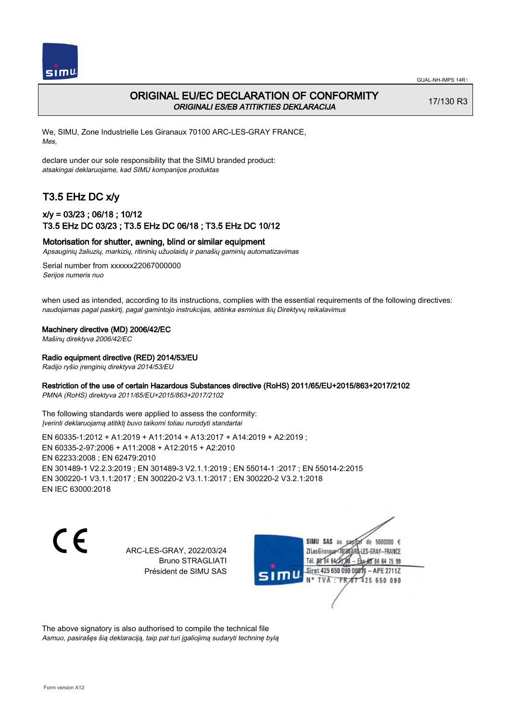

# ORIGINAL EU/EC DECLARATION OF CONFORMITY ORIGINALI ES/EB ATITIKTIES DEKLARACIJA

17/130 R3

We, SIMU, Zone Industrielle Les Giranaux 70100 ARC-LES-GRAY FRANCE, Mes,

declare under our sole responsibility that the SIMU branded product: atsakingai deklaruojame, kad SIMU kompanijos produktas

# T3.5 EHz DC x/y

## x/y = 03/23 ; 06/18 ; 10/12 T3.5 EHz DC 03/23 ; T3.5 EHz DC 06/18 ; T3.5 EHz DC 10/12

#### Motorisation for shutter, awning, blind or similar equipment

Apsauginių žaliuzių, markizių, ritininių užuolaidų ir panašių gaminių automatizavimas

Serial number from xxxxxx22067000000 Serijos numeris nuo

when used as intended, according to its instructions, complies with the essential requirements of the following directives: naudojamas pagal paskirtį, pagal gamintojo instrukcijas, atitinka esminius šių Direktyvų reikalavimus

Machinery directive (MD) 2006/42/EC

Mašinų direktyva 2006/42/EC

#### Radio equipment directive (RED) 2014/53/EU

Radijo ryšio įrenginių direktyva 2014/53/EU

#### Restriction of the use of certain Hazardous Substances directive (RoHS) 2011/65/EU+2015/863+2017/2102

PMNA (RoHS) direktyva 2011/65/EU+2015/863+2017/2102

The following standards were applied to assess the conformity: Įverinti deklaruojamą atitiktį buvo taikomi toliau nurodyti standartai

EN 60335‑1:2012 + A1:2019 + A11:2014 + A13:2017 + A14:2019 + A2:2019 ; EN 60335‑2‑97:2006 + A11:2008 + A12:2015 + A2:2010 EN 62233:2008 ; EN 62479:2010 EN 301489‑1 V2.2.3:2019 ; EN 301489‑3 V2.1.1:2019 ; EN 55014‑1 :2017 ; EN 55014‑2:2015 EN 300220‑1 V3.1.1:2017 ; EN 300220‑2 V3.1.1:2017 ; EN 300220‑2 V3.2.1:2018 EN IEC 63000:2018

C F

ARC-LES-GRAY, 2022/03/24 Bruno STRAGLIATI Président de SIMU SAS

de 5000000  $\epsilon$ SIMU SAS au ZI Les Giranaux-70180 LES-GRAY-FRANCE Tél. 08 R4 64 24 64 75 99 Siret 425 650 090 0081  $-$  APF 27117 **TVA · FR** 125 650 090

The above signatory is also authorised to compile the technical file Asmuo, pasirašęs šią deklaraciją, taip pat turi įgaliojimą sudaryti techninę bylą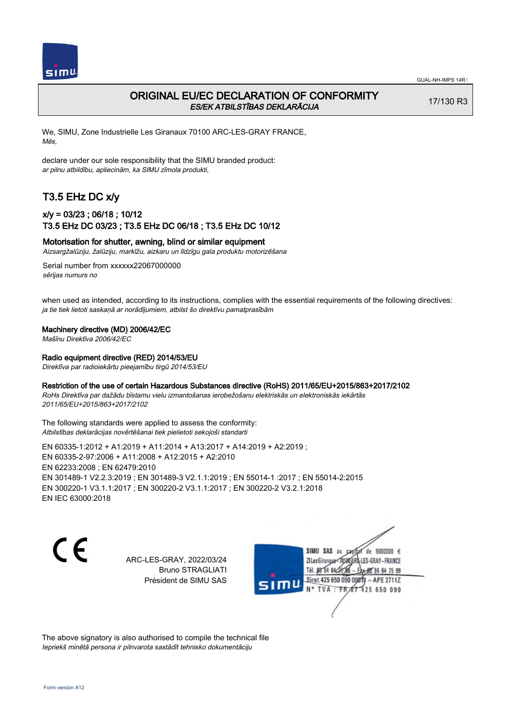

# ORIGINAL EU/EC DECLARATION OF CONFORMITY ES/EK ATBILSTĪBAS DEKLARĀCIJA

17/130 R3

We, SIMU, Zone Industrielle Les Giranaux 70100 ARC-LES-GRAY FRANCE, Mēs,

declare under our sole responsibility that the SIMU branded product: ar pilnu atbildību, apliecinām, ka SIMU zīmola produkti,

# T3.5 EHz DC x/y

### x/y = 03/23 ; 06/18 ; 10/12 T3.5 EHz DC 03/23 ; T3.5 EHz DC 06/18 ; T3.5 EHz DC 10/12

### Motorisation for shutter, awning, blind or similar equipment

Aizsargžalūziju, žalūziju, markīžu, aizkaru un līdzīgu gala produktu motorizēšana

Serial number from xxxxxx22067000000 sērijas numurs no

when used as intended, according to its instructions, complies with the essential requirements of the following directives: ja tie tiek lietoti saskaņā ar norādījumiem, atbilst šo direktīvu pamatprasībām

#### Machinery directive (MD) 2006/42/EC

Mašīnu Direktīva 2006/42/EC

#### Radio equipment directive (RED) 2014/53/EU

Direktīva par radioiekārtu pieejamību tirgū 2014/53/EU

#### Restriction of the use of certain Hazardous Substances directive (RoHS) 2011/65/EU+2015/863+2017/2102

RoHs Direktīva par dažādu bīstamu vielu izmantošanas ierobežošanu elektriskās un elektroniskās iekārtās 2011/65/EU+2015/863+2017/2102

The following standards were applied to assess the conformity: Atbilstības deklarācijas novērtēšanai tiek pielietoti sekojoši standarti

EN 60335‑1:2012 + A1:2019 + A11:2014 + A13:2017 + A14:2019 + A2:2019 ; EN 60335‑2‑97:2006 + A11:2008 + A12:2015 + A2:2010 EN 62233:2008 ; EN 62479:2010 EN 301489‑1 V2.2.3:2019 ; EN 301489‑3 V2.1.1:2019 ; EN 55014‑1 :2017 ; EN 55014‑2:2015 EN 300220‑1 V3.1.1:2017 ; EN 300220‑2 V3.1.1:2017 ; EN 300220‑2 V3.2.1:2018 EN IEC 63000:2018

 $\epsilon$ 

ARC-LES-GRAY, 2022/03/24 Bruno STRAGLIATI Président de SIMU SAS



The above signatory is also authorised to compile the technical file Iepriekš minētā persona ir pilnvarota sastādīt tehnisko dokumentāciju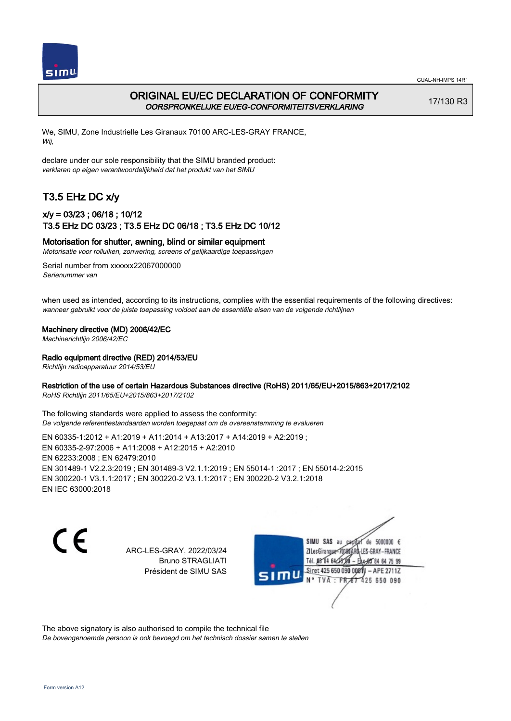

# ORIGINAL EU/EC DECLARATION OF CONFORMITY OORSPRONKELIJKE EU/EG-CONFORMITEITSVERKLARING

17/130 R3

We, SIMU, Zone Industrielle Les Giranaux 70100 ARC-LES-GRAY FRANCE, Wij,

declare under our sole responsibility that the SIMU branded product: verklaren op eigen verantwoordelijkheid dat het produkt van het SIMU

# T3.5 EHz DC x/y

## x/y = 03/23 ; 06/18 ; 10/12 T3.5 EHz DC 03/23 ; T3.5 EHz DC 06/18 ; T3.5 EHz DC 10/12

#### Motorisation for shutter, awning, blind or similar equipment

Motorisatie voor rolluiken, zonwering, screens of gelijkaardige toepassingen

Serial number from xxxxxx22067000000 Serienummer van

when used as intended, according to its instructions, complies with the essential requirements of the following directives: wanneer gebruikt voor de juiste toepassing voldoet aan de essentiële eisen van de volgende richtlijnen

#### Machinery directive (MD) 2006/42/EC

Machinerichtlijn 2006/42/EC

#### Radio equipment directive (RED) 2014/53/EU

Richtlijn radioapparatuur 2014/53/EU

#### Restriction of the use of certain Hazardous Substances directive (RoHS) 2011/65/EU+2015/863+2017/2102

RoHS Richtlijn 2011/65/EU+2015/863+2017/2102

The following standards were applied to assess the conformity: De volgende referentiestandaarden worden toegepast om de overeenstemming te evalueren

EN 60335‑1:2012 + A1:2019 + A11:2014 + A13:2017 + A14:2019 + A2:2019 ; EN 60335‑2‑97:2006 + A11:2008 + A12:2015 + A2:2010 EN 62233:2008 ; EN 62479:2010 EN 301489‑1 V2.2.3:2019 ; EN 301489‑3 V2.1.1:2019 ; EN 55014‑1 :2017 ; EN 55014‑2:2015 EN 300220‑1 V3.1.1:2017 ; EN 300220‑2 V3.1.1:2017 ; EN 300220‑2 V3.2.1:2018 EN IEC 63000:2018

C F

ARC-LES-GRAY, 2022/03/24 Bruno STRAGLIATI Président de SIMU SAS

de 5000000  $\epsilon$ SIMU SAS au ZI Les Giranaux< LES-GRAY-FRANCE Tél. 08 R4 64 2 64 75 99 Siret 425 650 090 00811  $-$  APF 27117 125 650 090

The above signatory is also authorised to compile the technical file De bovengenoemde persoon is ook bevoegd om het technisch dossier samen te stellen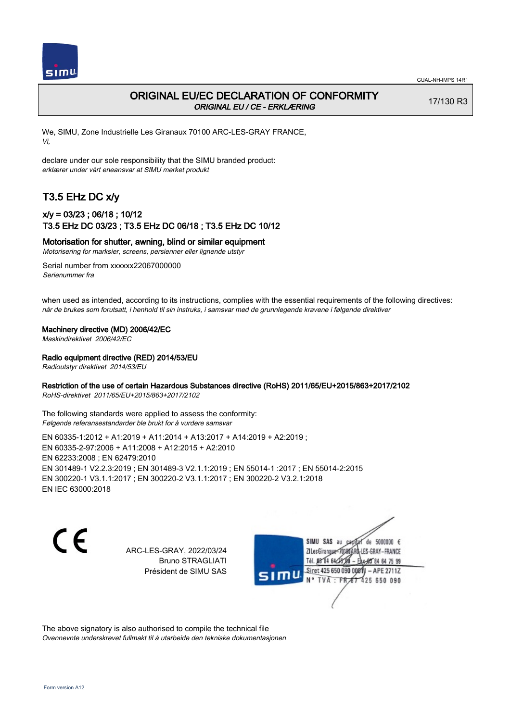

17/130 R3

# ORIGINAL EU/EC DECLARATION OF CONFORMITY ORIGINAL EU / CE - ERKLÆRING

We, SIMU, Zone Industrielle Les Giranaux 70100 ARC-LES-GRAY FRANCE, Vi,

declare under our sole responsibility that the SIMU branded product: erklærer under vårt eneansvar at SIMU merket produkt

# T3.5 EHz DC x/y

## x/y = 03/23 ; 06/18 ; 10/12 T3.5 EHz DC 03/23 ; T3.5 EHz DC 06/18 ; T3.5 EHz DC 10/12

Motorisation for shutter, awning, blind or similar equipment

Motorisering for marksier, screens, persienner eller lignende utstyr

Serial number from xxxxxx22067000000 Serienummer fra

when used as intended, according to its instructions, complies with the essential requirements of the following directives: når de brukes som forutsatt, i henhold til sin instruks, i samsvar med de grunnlegende kravene i følgende direktiver

#### Machinery directive (MD) 2006/42/EC

Maskindirektivet 2006/42/EC

Radio equipment directive (RED) 2014/53/EU

Radioutstyr direktivet 2014/53/EU

#### Restriction of the use of certain Hazardous Substances directive (RoHS) 2011/65/EU+2015/863+2017/2102

RoHS-direktivet 2011/65/EU+2015/863+2017/2102

The following standards were applied to assess the conformity: Følgende referansestandarder ble brukt for å vurdere samsvar

EN 60335‑1:2012 + A1:2019 + A11:2014 + A13:2017 + A14:2019 + A2:2019 ; EN 60335‑2‑97:2006 + A11:2008 + A12:2015 + A2:2010 EN 62233:2008 ; EN 62479:2010 EN 301489‑1 V2.2.3:2019 ; EN 301489‑3 V2.1.1:2019 ; EN 55014‑1 :2017 ; EN 55014‑2:2015 EN 300220‑1 V3.1.1:2017 ; EN 300220‑2 V3.1.1:2017 ; EN 300220‑2 V3.2.1:2018 EN IEC 63000:2018

CE

ARC-LES-GRAY, 2022/03/24 Bruno STRAGLIATI Président de SIMU SAS

de 5000000  $\epsilon$ SIMU SAS au ZI Les Giranaux< LES-GRAY-FRANCE Tél. 08 84 64 2 64 75 99 Siret 425 650 090 00811  $-$  APF 27117 125 650 090

The above signatory is also authorised to compile the technical file Ovennevnte underskrevet fullmakt til å utarbeide den tekniske dokumentasjonen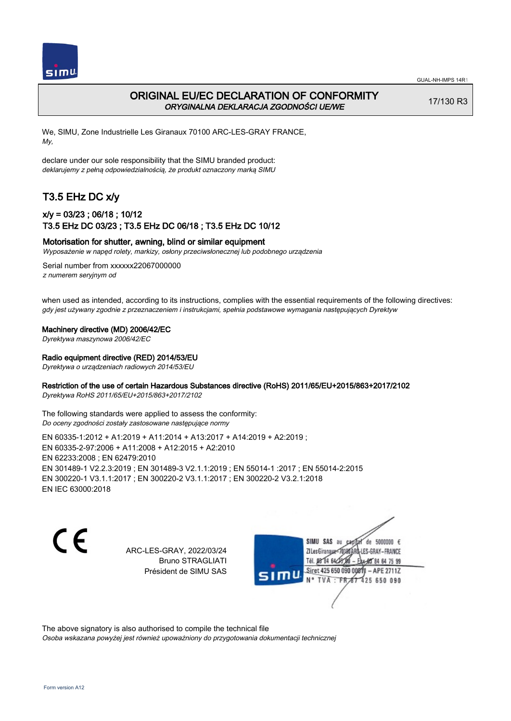

# ORIGINAL EU/EC DECLARATION OF CONFORMITY ORYGINALNA DEKLARACJA ZGODNOŚCI UE/WE

17/130 R3

We, SIMU, Zone Industrielle Les Giranaux 70100 ARC-LES-GRAY FRANCE, My,

declare under our sole responsibility that the SIMU branded product: deklarujemy z pełną odpowiedzialnością, że produkt oznaczony marką SIMU

# T3.5 EHz DC x/y

## x/y = 03/23 ; 06/18 ; 10/12 T3.5 EHz DC 03/23 ; T3.5 EHz DC 06/18 ; T3.5 EHz DC 10/12

#### Motorisation for shutter, awning, blind or similar equipment

Wyposażenie w napęd rolety, markizy, osłony przeciwsłonecznej lub podobnego urządzenia

Serial number from xxxxxx22067000000 z numerem seryjnym od

when used as intended, according to its instructions, complies with the essential requirements of the following directives: gdy jest używany zgodnie z przeznaczeniem i instrukcjami, spełnia podstawowe wymagania następujących Dyrektyw

Machinery directive (MD) 2006/42/EC

Dyrektywa maszynowa 2006/42/EC

#### Radio equipment directive (RED) 2014/53/EU

Dyrektywa o urządzeniach radiowych 2014/53/EU

#### Restriction of the use of certain Hazardous Substances directive (RoHS) 2011/65/EU+2015/863+2017/2102

Dyrektywa RoHS 2011/65/EU+2015/863+2017/2102

The following standards were applied to assess the conformity: Do oceny zgodności zostały zastosowane następujące normy

EN 60335‑1:2012 + A1:2019 + A11:2014 + A13:2017 + A14:2019 + A2:2019 ; EN 60335‑2‑97:2006 + A11:2008 + A12:2015 + A2:2010 EN 62233:2008 ; EN 62479:2010 EN 301489‑1 V2.2.3:2019 ; EN 301489‑3 V2.1.1:2019 ; EN 55014‑1 :2017 ; EN 55014‑2:2015 EN 300220‑1 V3.1.1:2017 ; EN 300220‑2 V3.1.1:2017 ; EN 300220‑2 V3.2.1:2018 EN IEC 63000:2018

C F

ARC-LES-GRAY, 2022/03/24 Bruno STRAGLIATI Président de SIMU SAS

de 5000000  $\epsilon$ SIMU SAS au ZI Les Giranaux-70180 LES-GRAY-FRANCE Tél. 08 R4 64 2 64 75 99 Siret 425 650 090 00811  $-$  APF 27117 125 650 090

The above signatory is also authorised to compile the technical file Osoba wskazana powyżej jest również upoważniony do przygotowania dokumentacji technicznej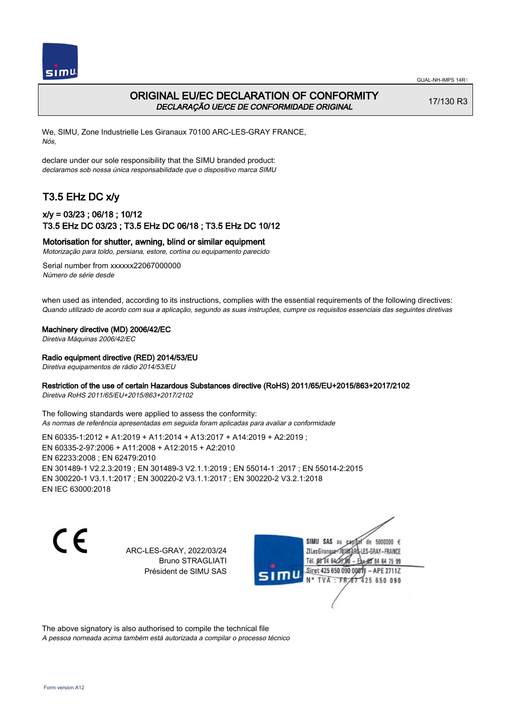

## ORIGINAL EU/EC DECLARATION OF CONFORMITY DECLARAÇÃO UE/CE DE CONFORMIDADE ORIGINAL

17/130 R3

We, SIMU, Zone Industrielle Les Giranaux 70100 ARC-LES-GRAY FRANCE, Nós,

declare under our sole responsibility that the SIMU branded product: declaramos sob nossa única responsabilidade que o dispositivo marca SIMU

# T3.5 EHz DC x/y

## x/y = 03/23 ; 06/18 ; 10/12 T3.5 EHz DC 03/23 ; T3.5 EHz DC 06/18 ; T3.5 EHz DC 10/12

#### Motorisation for shutter, awning, blind or similar equipment

Motorização para toldo, persiana, estore, cortina ou equipamento parecido

Serial number from xxxxxx22067000000 Número de série desde

when used as intended, according to its instructions, complies with the essential requirements of the following directives: Quando utilizado de acordo com sua a aplicação, segundo as suas instruções, cumpre os requisitos essenciais das seguintes diretivas

Machinery directive (MD) 2006/42/EC

Diretiva Máquinas 2006/42/EC

#### Radio equipment directive (RED) 2014/53/EU

Diretiva equipamentos de rádio 2014/53/EU

#### Restriction of the use of certain Hazardous Substances directive (RoHS) 2011/65/EU+2015/863+2017/2102

Diretiva RoHS 2011/65/EU+2015/863+2017/2102

The following standards were applied to assess the conformity: As normas de referência apresentadas em seguida foram aplicadas para avaliar a conformidade

EN 60335‑1:2012 + A1:2019 + A11:2014 + A13:2017 + A14:2019 + A2:2019 ; EN 60335‑2‑97:2006 + A11:2008 + A12:2015 + A2:2010 EN 62233:2008 ; EN 62479:2010 EN 301489‑1 V2.2.3:2019 ; EN 301489‑3 V2.1.1:2019 ; EN 55014‑1 :2017 ; EN 55014‑2:2015 EN 300220‑1 V3.1.1:2017 ; EN 300220‑2 V3.1.1:2017 ; EN 300220‑2 V3.2.1:2018 EN IEC 63000:2018

C F

ARC-LES-GRAY, 2022/03/24 Bruno STRAGLIATI Président de SIMU SAS

de 5000000  $\epsilon$ SIMU SAS au ZI Les Giranaux< ES-GRAY-FRANCE Tél. 08 84 64 2 64 75 99 Siret 425 650 090 00811  $-$  APF 27117 125 650 090

The above signatory is also authorised to compile the technical file A pessoa nomeada acima também está autorizada a compilar o processo técnico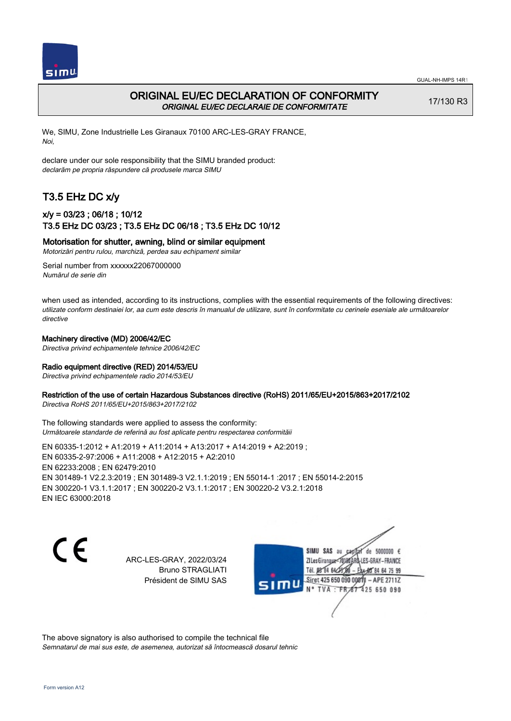

## ORIGINAL EU/EC DECLARATION OF CONFORMITY ORIGINAL EU/EC DECLARAIE DE CONFORMITATE

17/130 R3

We, SIMU, Zone Industrielle Les Giranaux 70100 ARC-LES-GRAY FRANCE, Noi,

declare under our sole responsibility that the SIMU branded product: declarăm pe propria răspundere că produsele marca SIMU

# T3.5 EHz DC x/y

## x/y = 03/23 ; 06/18 ; 10/12 T3.5 EHz DC 03/23 ; T3.5 EHz DC 06/18 ; T3.5 EHz DC 10/12

#### Motorisation for shutter, awning, blind or similar equipment

Motorizări pentru rulou, marchiză, perdea sau echipament similar

Serial number from xxxxxx22067000000 Numărul de serie din

when used as intended, according to its instructions, complies with the essential requirements of the following directives: utilizate conform destinaiei lor, aa cum este descris în manualul de utilizare, sunt în conformitate cu cerinele eseniale ale următoarelor directive

#### Machinery directive (MD) 2006/42/EC

Directiva privind echipamentele tehnice 2006/42/EC

#### Radio equipment directive (RED) 2014/53/EU

Directiva privind echipamentele radio 2014/53/EU

#### Restriction of the use of certain Hazardous Substances directive (RoHS) 2011/65/EU+2015/863+2017/2102

Directiva RoHS 2011/65/EU+2015/863+2017/2102

The following standards were applied to assess the conformity: Următoarele standarde de referină au fost aplicate pentru respectarea conformităii

EN 60335‑1:2012 + A1:2019 + A11:2014 + A13:2017 + A14:2019 + A2:2019 ; EN 60335‑2‑97:2006 + A11:2008 + A12:2015 + A2:2010 EN 62233:2008 ; EN 62479:2010 EN 301489‑1 V2.2.3:2019 ; EN 301489‑3 V2.1.1:2019 ; EN 55014‑1 :2017 ; EN 55014‑2:2015 EN 300220‑1 V3.1.1:2017 ; EN 300220‑2 V3.1.1:2017 ; EN 300220‑2 V3.2.1:2018 EN IEC 63000:2018

 $\epsilon$ 

ARC-LES-GRAY, 2022/03/24 Bruno STRAGLIATI Président de SIMU SAS

de 5000000  $\epsilon$ SIMU SAS au ZI Les Giranauxe LES-GRAY-FRANCE Tél. 08 84 64 24 95 84 64 75 99 Siret 425 650 090 00811 - APE 2711Z TVA: FR 87 425 650 090

The above signatory is also authorised to compile the technical file Semnatarul de mai sus este, de asemenea, autorizat să întocmească dosarul tehnic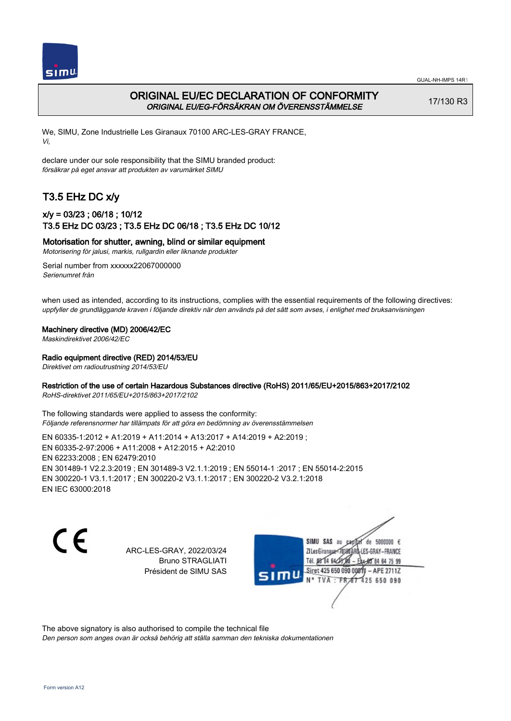

# ORIGINAL EU/EC DECLARATION OF CONFORMITY ORIGINAL EU/EG-FÖRSÄKRAN OM ÖVERENSSTÄMMELSE

17/130 R3

We, SIMU, Zone Industrielle Les Giranaux 70100 ARC-LES-GRAY FRANCE, Vi,

declare under our sole responsibility that the SIMU branded product: försäkrar på eget ansvar att produkten av varumärket SIMU

# T3.5 EHz DC x/y

## x/y = 03/23 ; 06/18 ; 10/12 T3.5 EHz DC 03/23 ; T3.5 EHz DC 06/18 ; T3.5 EHz DC 10/12

Motorisation for shutter, awning, blind or similar equipment

Motorisering för jalusi, markis, rullgardin eller liknande produkter

Serial number from xxxxxx22067000000 Serienumret från

when used as intended, according to its instructions, complies with the essential requirements of the following directives: uppfyller de grundläggande kraven i följande direktiv när den används på det sätt som avses, i enlighet med bruksanvisningen

#### Machinery directive (MD) 2006/42/EC

Maskindirektivet 2006/42/EC

#### Radio equipment directive (RED) 2014/53/EU

Direktivet om radioutrustning 2014/53/EU

#### Restriction of the use of certain Hazardous Substances directive (RoHS) 2011/65/EU+2015/863+2017/2102

RoHS-direktivet 2011/65/EU+2015/863+2017/2102

The following standards were applied to assess the conformity: Följande referensnormer har tillämpats för att göra en bedömning av överensstämmelsen

EN 60335‑1:2012 + A1:2019 + A11:2014 + A13:2017 + A14:2019 + A2:2019 ; EN 60335‑2‑97:2006 + A11:2008 + A12:2015 + A2:2010 EN 62233:2008 ; EN 62479:2010 EN 301489‑1 V2.2.3:2019 ; EN 301489‑3 V2.1.1:2019 ; EN 55014‑1 :2017 ; EN 55014‑2:2015 EN 300220‑1 V3.1.1:2017 ; EN 300220‑2 V3.1.1:2017 ; EN 300220‑2 V3.2.1:2018 EN IEC 63000:2018

C F

ARC-LES-GRAY, 2022/03/24 Bruno STRAGLIATI Président de SIMU SAS

de 5000000  $\epsilon$ SIMU SAS au ZI Les Giranaux<sup>2</sup> ES-GRAY-FRANCE Tél. 08 84 64 2 64 75 99 Siret 425 650 090 00811  $-$  APF 27117 125 650 090

The above signatory is also authorised to compile the technical file

Den person som anges ovan är också behörig att ställa samman den tekniska dokumentationen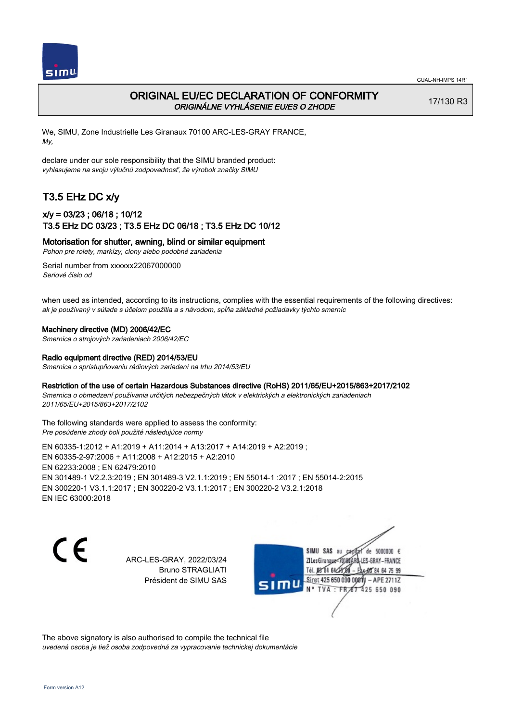

# ORIGINAL EU/EC DECLARATION OF CONFORMITY ORIGINÁLNE VYHLÁSENIE EU/ES O ZHODE

17/130 R3

We, SIMU, Zone Industrielle Les Giranaux 70100 ARC-LES-GRAY FRANCE, My,

declare under our sole responsibility that the SIMU branded product: vyhlasujeme na svoju výlučnú zodpovednosť, že výrobok značky SIMU

# T3.5 EHz DC x/y

## x/y = 03/23 ; 06/18 ; 10/12 T3.5 EHz DC 03/23 ; T3.5 EHz DC 06/18 ; T3.5 EHz DC 10/12

Motorisation for shutter, awning, blind or similar equipment

Pohon pre rolety, markízy, clony alebo podobné zariadenia

Serial number from xxxxxx22067000000 Seriové číslo od

when used as intended, according to its instructions, complies with the essential requirements of the following directives: ak je používaný v súlade s účelom použitia a s návodom, spĺňa základné požiadavky týchto smerníc

#### Machinery directive (MD) 2006/42/EC

Smernica o strojových zariadeniach 2006/42/EC

#### Radio equipment directive (RED) 2014/53/EU

Smernica o sprístupňovaniu rádiových zariadení na trhu 2014/53/EU

#### Restriction of the use of certain Hazardous Substances directive (RoHS) 2011/65/EU+2015/863+2017/2102

Smernica o obmedzení používania určitých nebezpečných látok v elektrických a elektronických zariadeniach 2011/65/EU+2015/863+2017/2102

#### The following standards were applied to assess the conformity: Pre posúdenie zhody boli použité následujúce normy

EN 60335‑1:2012 + A1:2019 + A11:2014 + A13:2017 + A14:2019 + A2:2019 ; EN 60335‑2‑97:2006 + A11:2008 + A12:2015 + A2:2010 EN 62233:2008 ; EN 62479:2010 EN 301489‑1 V2.2.3:2019 ; EN 301489‑3 V2.1.1:2019 ; EN 55014‑1 :2017 ; EN 55014‑2:2015 EN 300220‑1 V3.1.1:2017 ; EN 300220‑2 V3.1.1:2017 ; EN 300220‑2 V3.2.1:2018 EN IEC 63000:2018

 $\epsilon$ 

ARC-LES-GRAY, 2022/03/24 Bruno STRAGLIATI Président de SIMU SAS



The above signatory is also authorised to compile the technical file uvedená osoba je tiež osoba zodpovedná za vypracovanie technickej dokumentácie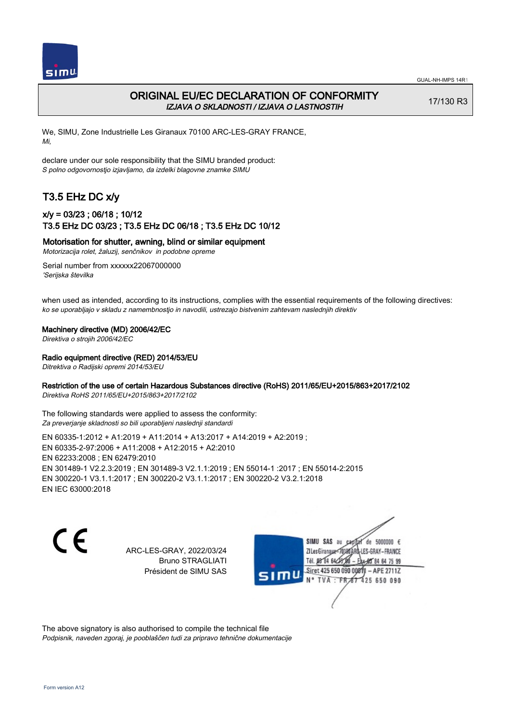

# ORIGINAL EU/EC DECLARATION OF CONFORMITY IZJAVA O SKLADNOSTI / IZJAVA O LASTNOSTIH

17/130 R3

We, SIMU, Zone Industrielle Les Giranaux 70100 ARC-LES-GRAY FRANCE, Mi,

declare under our sole responsibility that the SIMU branded product: S polno odgovornostjo izjavljamo, da izdelki blagovne znamke SIMU

# T3.5 EHz DC x/y

## x/y = 03/23 ; 06/18 ; 10/12 T3.5 EHz DC 03/23 ; T3.5 EHz DC 06/18 ; T3.5 EHz DC 10/12

Motorisation for shutter, awning, blind or similar equipment

Motorizacija rolet, žaluzij, senčnikov in podobne opreme

Serial number from xxxxxx22067000000 'Serijska številka

when used as intended, according to its instructions, complies with the essential requirements of the following directives: ko se uporabljajo v skladu z namembnostjo in navodili, ustrezajo bistvenim zahtevam naslednjih direktiv

#### Machinery directive (MD) 2006/42/EC

Direktiva o strojih 2006/42/EC

#### Radio equipment directive (RED) 2014/53/EU

Ditrektiva o Radijski opremi 2014/53/EU

#### Restriction of the use of certain Hazardous Substances directive (RoHS) 2011/65/EU+2015/863+2017/2102

Direktiva RoHS 2011/65/EU+2015/863+2017/2102

The following standards were applied to assess the conformity: Za preverjanje skladnosti so bili uporabljeni naslednji standardi

EN 60335‑1:2012 + A1:2019 + A11:2014 + A13:2017 + A14:2019 + A2:2019 ; EN 60335‑2‑97:2006 + A11:2008 + A12:2015 + A2:2010 EN 62233:2008 ; EN 62479:2010 EN 301489‑1 V2.2.3:2019 ; EN 301489‑3 V2.1.1:2019 ; EN 55014‑1 :2017 ; EN 55014‑2:2015 EN 300220‑1 V3.1.1:2017 ; EN 300220‑2 V3.1.1:2017 ; EN 300220‑2 V3.2.1:2018 EN IEC 63000:2018

C F

ARC-LES-GRAY, 2022/03/24 Bruno STRAGLIATI Président de SIMU SAS

de 5000000  $\epsilon$ SIMU SAS au ZI Les Giranaux</01 LES-GRAY-FRANCE Tél. 08 R4 64 2 64 75 99 Siret 425 650 090 0081  $-$  APF 27117 125 650 090

The above signatory is also authorised to compile the technical file Podpisnik, naveden zgoraj, je pooblaščen tudi za pripravo tehnične dokumentacije